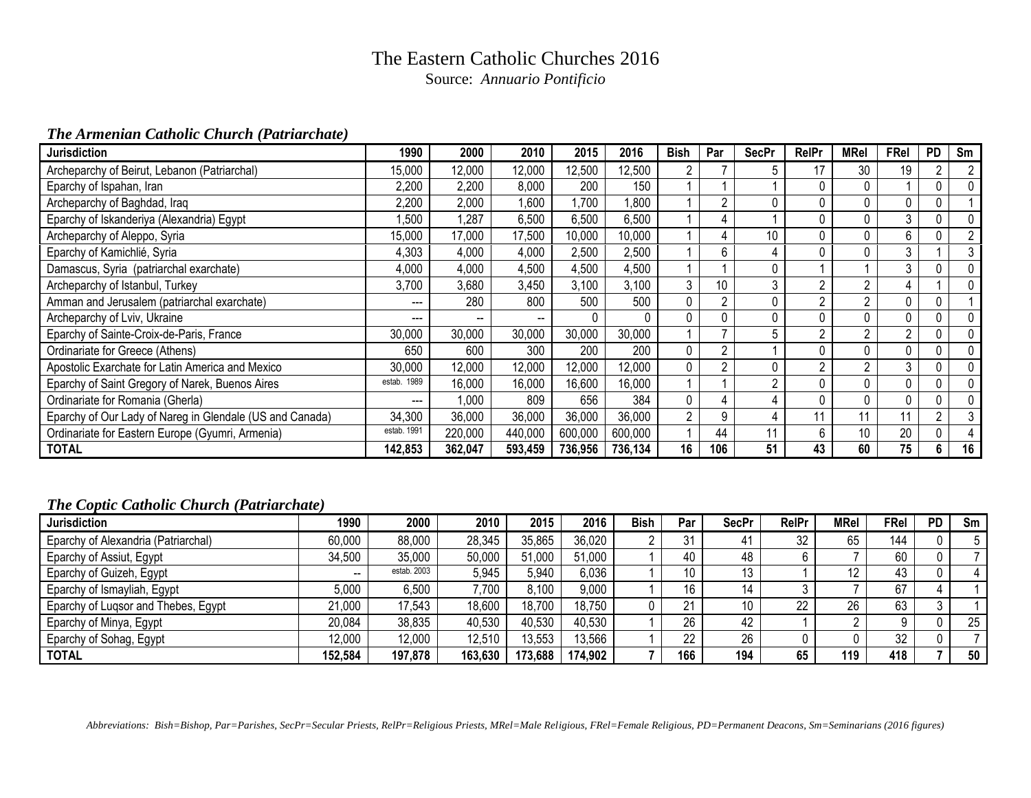# The Eastern Catholic Churches 2016

Source: *Annuario Pontificio*

## *The Armenian Catholic Church (Patriarchate)*

| <b>Jurisdiction</b>                                      | 1990        | 2000    | 2010    | 2015    | 2016    | Bish | Par            | <b>SecPr</b>   | <b>RelPr</b>   | MRel           | FRel | <b>PD</b>      | Sm             |
|----------------------------------------------------------|-------------|---------|---------|---------|---------|------|----------------|----------------|----------------|----------------|------|----------------|----------------|
| Archeparchy of Beirut, Lebanon (Patriarchal)             | 15,000      | 12,000  | 12,000  | 12,500  | 12,500  |      |                | 5              | 17             | 30             | 19   | 2              | $\overline{2}$ |
| Eparchy of Ispahan, Iran                                 | 2,200       | 2,200   | 8,000   | 200     | 150     |      |                |                | 0              | 0              |      |                | 0              |
| Archeparchy of Baghdad, Iraq                             | 2,200       | 2,000   | ,600    | ,700    | 008,    |      | $\overline{2}$ | 0              | 0              | 0              |      |                |                |
| Eparchy of Iskanderiya (Alexandria) Egypt                | ,500        | 1,287   | 6,500   | 6,500   | 6,500   |      |                |                | $\mathbf 0$    | 0              | 3    |                | 0              |
| Archeparchy of Aleppo, Syria                             | 15,000      | 17,000  | 17,500  | 10,000  | 10,000  |      |                | 10             | 0              | $\mathbf{0}$   | 6    |                | $\overline{2}$ |
| Eparchy of Kamichlié, Syria                              | 4,303       | 4,000   | 4,000   | 2,500   | 2,500   |      | 6              | 4              | 0              | 0              | 3    |                | 3              |
| Damascus, Syria (patriarchal exarchate)                  | 4,000       | 4,000   | 4,500   | 4,500   | 4,500   |      |                | 0              |                |                | 3    |                | 0              |
| Archeparchy of Istanbul, Turkey                          | 3,700       | 3,680   | 3,450   | 3,100   | 3,100   | 3    | 10             | 3              | $2^{\circ}$    | $\overline{2}$ |      |                | 0              |
| Amman and Jerusalem (patriarchal exarchate)              | $---$       | 280     | 800     | 500     | 500     | 0    | $\overline{2}$ | 0              | $\overline{2}$ | $\overline{2}$ |      | 0              |                |
| Archeparchy of Lviv, Ukraine                             | ---         | --      |         |         | 0       | 0    | 0              | 0              | 0              | 0              |      |                |                |
| Eparchy of Sainte-Croix-de-Paris, France                 | 30,000      | 30,000  | 30,000  | 30,000  | 30,000  |      |                | 5              | $\overline{2}$ | $\overline{2}$ | 2    |                | 0              |
| Ordinariate for Greece (Athens)                          | 650         | 600     | 300     | 200     | 200     | 0    | $\overline{2}$ |                | 0              | 0              |      |                | 0              |
| Apostolic Exarchate for Latin America and Mexico         | 30,000      | 12,000  | 12,000  | 12,000  | 12,000  | 0    | $\overline{2}$ | $\mathbf 0$    | $\overline{2}$ | $2^{\circ}$    | 3    |                | 0              |
| Eparchy of Saint Gregory of Narek, Buenos Aires          | estab. 1989 | 16,000  | 16,000  | 16,600  | 16,000  |      |                | $\overline{2}$ | $\mathbf 0$    | 0              |      |                | 0              |
| Ordinariate for Romania (Gherla)                         | ---         | 1.000   | 809     | 656     | 384     | 0    |                | $\overline{4}$ | 0              | $\mathbf 0$    |      | 0              | 0              |
| Eparchy of Our Lady of Nareg in Glendale (US and Canada) | 34,300      | 36,000  | 36,000  | 36,000  | 36,000  | 2    | 9              | 4              | 11             | 11             | 11   | $\overline{2}$ | 3              |
| Ordinariate for Eastern Europe (Gyumri, Armenia)         | estab. 1991 | 220,000 | 440,000 | 600,000 | 600,000 |      | 44             | 11             | 6              | 10             | 20   | 0              |                |
| <b>TOTAL</b>                                             | 142,853     | 362,047 | 593,459 | 736,956 | 736,134 | 16   | 106            | 51             | 43             | 60             | 75   | 6              | 16             |

#### *The Coptic Catholic Church (Patriarchate)*

| <b>Jurisdiction</b>                 | 1990    | 2000        | 2010    | 2015    | 2016    | <b>Bish</b> | Par | <b>SecPr</b> | <b>RelPr</b> | <b>MRel</b> | FRel | <b>PD</b> | Sm |
|-------------------------------------|---------|-------------|---------|---------|---------|-------------|-----|--------------|--------------|-------------|------|-----------|----|
| Eparchy of Alexandria (Patriarchal) | 60,000  | 88,000      | 28,345  | 35,865  | 36,020  | <u>_</u>    | ົາ  | 41           | 32           | 65          | 144  |           |    |
| Eparchy of Assiut, Egypt            | 34,500  | 35,000      | 50,000  | 51,000  | 51,000  |             | 40  | 48           |              |             | 60   |           |    |
| Eparchy of Guizeh, Egypt            | $- -$   | estab. 2003 | 5,945   | 5,940   | 6,036   |             | 10  | IЭ           |              | 12          | 43   |           |    |
| Eparchy of Ismayliah, Egypt         | 5.000   | 6.500       | 7,700   | 8,100   | 9,000   |             | 16  |              |              |             | 67   |           |    |
| Eparchy of Lugsor and Thebes, Egypt | 21,000  | 17,543      | 18,600  | 18,700  | 18,750  |             | ິ   | 10           | 22           | 26          | 63   |           |    |
| Eparchy of Minya, Egypt             | 20,084  | 38,835      | 40,530  | 40,530  | 40,530  |             | 26  | 42           |              |             |      |           | 25 |
| Eparchy of Sohag, Egypt             | 12,000  | 12,000      | 12,510  | 13,553  | 13,566  |             | 22  | 26           |              |             | 32   |           |    |
| <b>TOTAL</b>                        | 152,584 | 197,878     | 163,630 | 173,688 | 174,902 |             | 166 | 194          | 65           | 119         | 418  |           | 50 |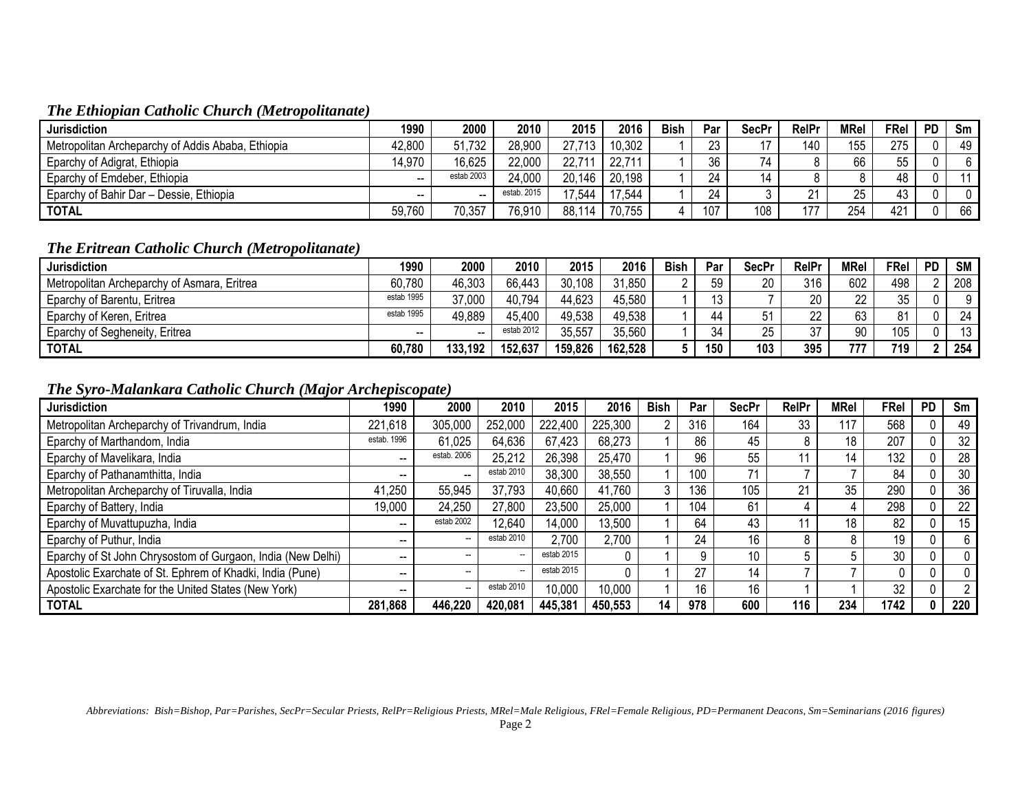## *The Ethiopian Catholic Church (Metropolitanate)*

| <b>Jurisdiction</b>                               | 1990                     | 2000                     | 2010        | 2015   | 2016   | <b>Bish</b> | Par      | <b>SecPr</b> | RelPr | MRel       | FRel | <b>PD</b> | Sm |
|---------------------------------------------------|--------------------------|--------------------------|-------------|--------|--------|-------------|----------|--------------|-------|------------|------|-----------|----|
| Metropolitan Archeparchy of Addis Ababa, Ethiopia | 42,800                   | 51,732                   | 28,900      | 27,713 | 10,302 |             | つつ<br>دے |              | 140   | 155        | 275  |           | 49 |
| Eparchy of Adigrat, Ethiopia                      | 14,970                   | 16,625                   | 22,000      | 22,71' | 22,711 |             | 36       |              |       | 66         | 55   |           |    |
| Eparchy of Emdeber, Ethiopia                      | $\overline{\phantom{a}}$ | estab 2003               | 24,000      | 20,146 | 20,198 |             | 24       | 14           |       |            | 48   |           |    |
| Eparchy of Bahir Dar - Dessie, Ethiopia           | $\overline{\phantom{a}}$ | $\overline{\phantom{a}}$ | estab. 2015 | 17,544 | 17,544 |             | 24       |              | ິດ 4  | 25         | 43   |           |    |
| <b>TOTAL</b>                                      | 59,760                   | 70,357                   | 76,910      | 88,114 | 70,755 |             | 107      | 108          | 177   | 251<br>~ت∠ | 421  |           | 66 |

## *The Eritrean Catholic Church (Metropolitanate)*

| <b>Jurisdiction</b>                         | 1990       | 2000    | 2010       | 2015    | 2016    | <b>Bish</b> | Par | <b>SecPr</b> | RelPr | <b>MRel</b> | FRel | <b>PD</b>         | <b>SM</b> |
|---------------------------------------------|------------|---------|------------|---------|---------|-------------|-----|--------------|-------|-------------|------|-------------------|-----------|
| Metropolitan Archeparchy of Asmara, Eritrea | 60,780     | 46,303  | 66,443     | 30,108  | 31,850  |             | 59  | 20           | 316   | 602         | 498  |                   | 208       |
| Eparchy of Barentu, Eritrea                 | estab 1995 | 37,000  | 40,794     | 44,623  | 45,580  |             | ັບ  |              | 20    | າາ<br>ᅩ     | 35   |                   | 9 I       |
| Eparchy of Keren, Eritrea                   | estab 1995 | 49,889  | 45,400     | 49,538  | 49,538  |             | 44  | 51           | 22    | 63          | ດ 4  |                   | 24        |
| Eparchy of Segheneity, Eritrea              | $- -$      | --      | estab 2012 | 35,557  | 35,560  |             | 34  | 25           | 37    | ۵N          | 105  |                   | 13        |
| <b>TOTAL</b>                                | 60,780     | 133,192 | 152,637    | 159,826 | 162,528 |             | 150 | 103          | 395   | 777         | 719  | $\mathbf{\Omega}$ | 254       |

## *The Syro-Malankara Catholic Church (Major Archepiscopate)*

| <b>Jurisdiction</b>                                         | 1990                     | 2000        | 2010                     | 2015       | 2016    | <b>Bish</b> | Par | <b>SecPr</b> | RelPr | MRel | FRel | <b>PD</b>    | Sm             |
|-------------------------------------------------------------|--------------------------|-------------|--------------------------|------------|---------|-------------|-----|--------------|-------|------|------|--------------|----------------|
| Metropolitan Archeparchy of Trivandrum, India               | 221,618                  | 305,000     | 252,000                  | 222,400    | 225,300 |             | 316 | 164          | 33    | 117  | 568  |              | 49             |
| Eparchy of Marthandom, India                                | estab. 1996              | 61,025      | 64,636                   | 67,423     | 68,273  |             | 86  | 45           |       | 18   | 207  |              | 32             |
| Eparchy of Mavelikara, India                                | $\hspace{0.05cm}$        | estab. 2006 | 25,212                   | 26,398     | 25,470  |             | 96  | 55           |       | 14   | 132  | 0            | 28             |
| Eparchy of Pathanamthitta, India                            | $\overline{\phantom{a}}$ |             | estab 2010               | 38,300     | 38,550  |             | 100 |              |       |      | 84   |              | 30             |
| Metropolitan Archeparchy of Tiruvalla, India                | 41,250                   | 55,945      | 37,793                   | 40,660     | 41,760  | ົ           | 136 | 105          | 21    | 35   | 290  |              | 36             |
| Eparchy of Battery, India                                   | 19,000                   | 24,250      | 27,800                   | 23,500     | 25,000  |             | 104 | 61           |       |      | 298  |              | 22             |
| Eparchy of Muvattupuzha, India                              | --                       | estab 2002  | 12,640                   | 14,000     | 13,500  |             | 64  | 43           |       | 18   | 82   |              | 15             |
| Eparchy of Puthur, India                                    | $\overline{\phantom{a}}$ |             | estab 2010               | 2,700      | 2,700   |             | 24  | 16           | 8     |      | 19   |              | 6              |
| Eparchy of St John Chrysostom of Gurgaon, India (New Delhi) | $\overline{\phantom{a}}$ | --          | --                       | estab 2015 |         |             | a   | 10           |       |      | 30   | 0            | 0              |
| Apostolic Exarchate of St. Ephrem of Khadki, India (Pune)   | --                       | $- -$       | $\overline{\phantom{a}}$ | estab 2015 |         |             | 27  | 14           |       |      |      | 0            | 0              |
| Apostolic Exarchate for the United States (New York)        | --                       |             | estab 2010               | 10,000     | 10,000  |             | 16  | 16           |       |      | 32   | 0            | $\overline{2}$ |
| <b>TOTAL</b>                                                | 281,868                  | 446,220     | 420,081                  | 445,381    | 450,553 | 14          | 978 | 600          | 116   | 234  | 1742 | $\mathbf{0}$ | 220            |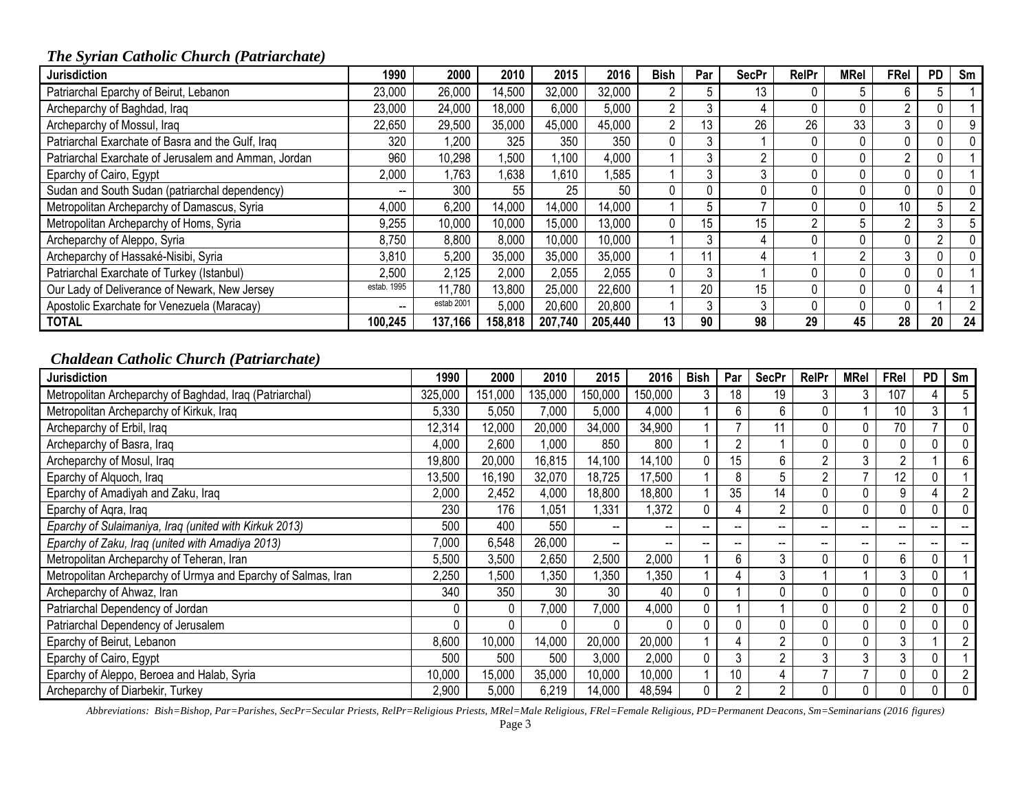# *The Syrian Catholic Church (Patriarchate)*

| <b>Jurisdiction</b>                                  | 1990                     | 2000       | 2010    | 2015    | 2016    | Bish           | Par | <b>SecPr</b> | RelPr | MRel | FRel | <b>PD</b> | Sm             |
|------------------------------------------------------|--------------------------|------------|---------|---------|---------|----------------|-----|--------------|-------|------|------|-----------|----------------|
| Patriarchal Eparchy of Beirut, Lebanon               | 23,000                   | 26,000     | 14,500  | 32,000  | 32,000  |                |     | 13           |       | 5    |      |           |                |
| Archeparchy of Baghdad, Iraq                         | 23,000                   | 24,000     | 18,000  | 6,000   | 5,000   | $\overline{2}$ |     |              |       | 0    |      |           |                |
| Archeparchy of Mossul, Iraq                          | 22,650                   | 29,500     | 35,000  | 45,000  | 45,000  | $\overline{2}$ | 13  | 26           | 26    | 33   |      |           |                |
| Patriarchal Exarchate of Basra and the Gulf, Iraq    | 320                      | 1,200      | 325     | 350     | 350     | 0              |     |              |       | 0    |      |           |                |
| Patriarchal Exarchate of Jerusalem and Amman, Jordan | 960                      | 10,298     | ,500    | 1,100   | 4,000   |                | 3   |              |       | 0    |      |           |                |
| Eparchy of Cairo, Egypt                              | 2,000                    | .763       | .638    | 1,610   | ,585    |                | 3   |              |       | 0    |      |           |                |
| Sudan and South Sudan (patriarchal dependency)       | $\overline{\phantom{a}}$ | 300        | 55      | 25      | 50      | 0              |     |              |       | 0    |      |           |                |
| Metropolitan Archeparchy of Damascus, Syria          | 4,000                    | 6,200      | 14,000  | 14,000  | 14,000  |                | 5   |              |       |      | 10   |           | 2              |
| Metropolitan Archeparchy of Homs, Syria              | 9,255                    | 10,000     | 10,000  | 15,000  | 13,000  | 0              | 15  | 15           | ∩     | 5    |      | 3         | 5              |
| Archeparchy of Aleppo, Syria                         | 8,750                    | 8,800      | 8,000   | 10,000  | 10,000  |                | 3   |              |       | 0    |      | n         |                |
| Archeparchy of Hassaké-Nisibi, Syria                 | 3,810                    | 5,200      | 35,000  | 35,000  | 35,000  |                |     |              |       |      |      |           |                |
| Patriarchal Exarchate of Turkey (Istanbul)           | 2,500                    | 2,125      | 2,000   | 2,055   | 2,055   | $\mathbf{0}$   | 3   |              |       | 0    |      |           |                |
| Our Lady of Deliverance of Newark, New Jersey        | estab. 1995              | 11,780     | 13,800  | 25,000  | 22,600  |                | 20  | 15           |       | 0    |      |           |                |
| Apostolic Exarchate for Venezuela (Maracay)          | $\overline{\phantom{a}}$ | estab 2001 | 5,000   | 20,600  | 20,800  |                | 3   | 3            |       | 0    |      |           | $\mathfrak{p}$ |
| <b>TOTAL</b>                                         | 100,245                  | 137,166    | 158,818 | 207.740 | 205,440 | 13             | 90  | 98           | 29    | 45   | 28   | 20        | 24             |

## *Chaldean Catholic Church (Patriarchate)*

| <b>Jurisdiction</b>                                           | 1990    | 2000    | 2010    | 2015                     | 2016                     | <b>Bish</b>              | Par                      | <b>SecPr</b>             | RelPr                    | <b>MRel</b> | FRel           | <b>PD</b> | Sm |
|---------------------------------------------------------------|---------|---------|---------|--------------------------|--------------------------|--------------------------|--------------------------|--------------------------|--------------------------|-------------|----------------|-----------|----|
| Metropolitan Archeparchy of Baghdad, Iraq (Patriarchal)       | 325,000 | 151,000 | 135,000 | 150,000                  | 150,000                  | 3                        | 18                       | 19                       | 3                        |             | 107            |           |    |
| Metropolitan Archeparchy of Kirkuk, Iraq                      | 5,330   | 5,050   | 7,000   | 5,000                    | 4,000                    |                          | 6                        | 6                        | 0                        |             | 10             | 3         |    |
| Archeparchy of Erbil, Iraq                                    | 12,314  | 12,000  | 20,000  | 34,000                   | 34,900                   |                          |                          | 11                       |                          |             | 70             |           |    |
| Archeparchy of Basra, Iraq                                    | 4,000   | 2,600   | 1,000   | 850                      | 800                      |                          | 2                        |                          | 0                        |             |                |           |    |
| Archeparchy of Mosul, Iraq                                    | 19,800  | 20,000  | 16,815  | 14,100                   | 14,100                   | 0                        | 15                       | 6                        | $\overline{2}$           | 3           | ŋ              |           |    |
| Eparchy of Alquoch, Iraq                                      | 13,500  | 16,190  | 32,070  | 18,725                   | 17,500                   |                          | 8                        | 5                        | $\overline{2}$           |             | 12             | 0         |    |
| Eparchy of Amadiyah and Zaku, Iraq                            | 2,000   | 2,452   | 4,000   | 18,800                   | 18,800                   |                          | 35                       | 14                       | 0                        |             | 9              | 4         |    |
| Eparchy of Agra, Iraq                                         | 230     | 176     | 1,051   | ,331                     | 1,372                    | 0                        | 4                        | $\overline{2}$           | $\mathbf 0$              | 0           |                | 0         |    |
| Eparchy of Sulaimaniya, Iraq (united with Kirkuk 2013)        | 500     | 400     | 550     | --                       | $\overline{\phantom{a}}$ | --                       | $\overline{\phantom{a}}$ | $\overline{\phantom{m}}$ | --                       | --          | --             | --        |    |
| Eparchy of Zaku, Iraq (united with Amadiya 2013)              | 7,000   | 6,548   | 26,000  | $\overline{\phantom{a}}$ | $\overline{\phantom{a}}$ | $\overline{\phantom{m}}$ | --                       | --                       | $\overline{\phantom{a}}$ | $- -$       | --             | --        |    |
| Metropolitan Archeparchy of Teheran, Iran                     | 5,500   | 3,500   | 2,650   | 2,500                    | 2,000                    |                          | 6                        | 3                        | 0                        | 0           | 6              |           |    |
| Metropolitan Archeparchy of Urmya and Eparchy of Salmas, Iran | 2,250   | ,500    | ,350    | ,350                     | 1,350                    |                          |                          | 3                        |                          |             | 3              | 0         |    |
| Archeparchy of Ahwaz, Iran                                    | 340     | 350     | 30      | 30                       | 40                       | $\Omega$                 |                          | $\Omega$                 | 0                        | $\Omega$    | $\Omega$       | $\Omega$  |    |
| Patriarchal Dependency of Jordan                              | 0       |         | 7,000   | 7,000                    | 4,000                    | 0                        |                          |                          | 0                        |             | $\overline{2}$ | 0         |    |
| Patriarchal Dependency of Jerusalem                           |         |         | 0       |                          | 0                        | 0                        | 0                        | 0                        | 0                        | 0           |                | 0         |    |
| Eparchy of Beirut, Lebanon                                    | 8,600   | 10,000  | 14,000  | 20,000                   | 20,000                   |                          |                          | 2                        | 0                        | 0           | 3              |           |    |
| Eparchy of Cairo, Egypt                                       | 500     | 500     | 500     | 3,000                    | 2,000                    | 0                        | 3                        | 2                        | 3                        | 3           | 3              | 0         |    |
| Eparchy of Aleppo, Beroea and Halab, Syria                    | 10,000  | 15,000  | 35,000  | 10,000                   | 10,000                   |                          | 10                       | 4                        |                          | ⇁           | 0              | 0         |    |
| Archeparchy of Diarbekir, Turkey                              | 2,900   | 5,000   | 6,219   | 14,000                   | 48,594                   | 0                        | 2                        | $\overline{2}$           | 0                        | 0           | $\Omega$       | 0         |    |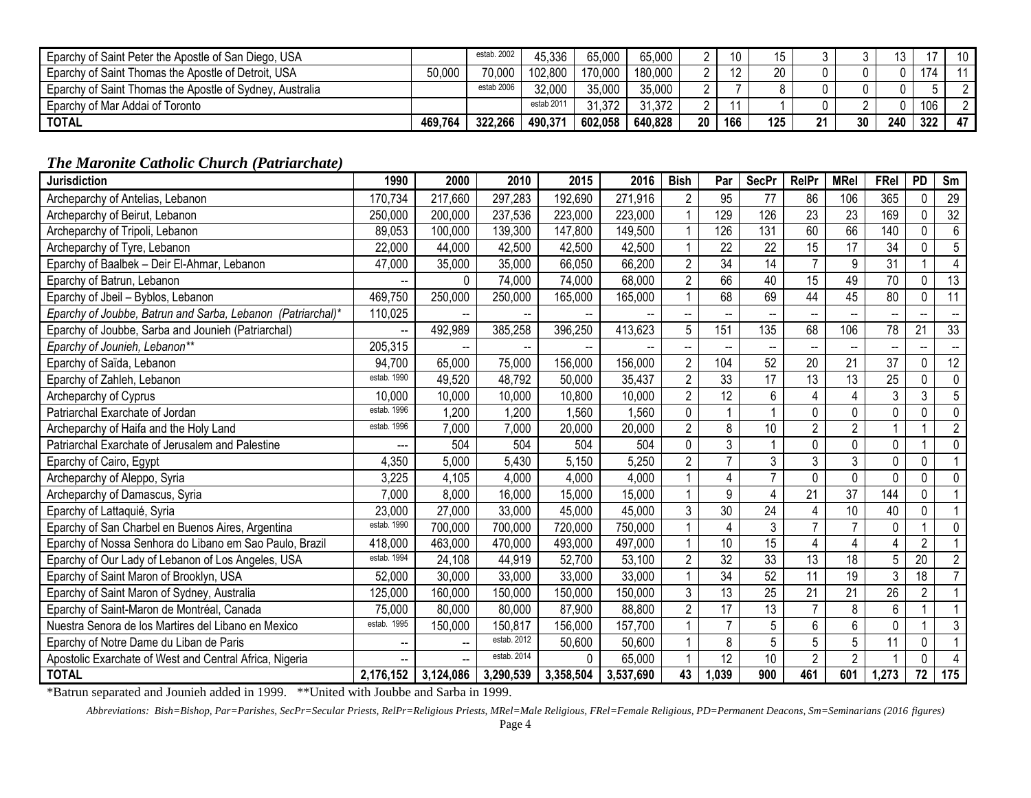| Eparchy of Saint Peter the Apostle of San Diego, USA     |         | estab, 2002 | 45,336     | 65,000  | 65,000  |    | 10  |     |    |    |     |     | 10 |
|----------------------------------------------------------|---------|-------------|------------|---------|---------|----|-----|-----|----|----|-----|-----|----|
| Eparchy of Saint Thomas the Apostle of Detroit, USA      | 50,000  | 70,000      | 102,800    | 170,000 | 180,000 |    |     | 20  |    |    |     | 174 |    |
| Eparchy of Saint Thomas the Apostle of Sydney, Australia |         | estab 2006  | 32,000     | 35,000  | 35,000  |    |     |     |    |    |     |     |    |
| Eparchy of Mar Addai of Toronto                          |         |             | estab 2011 | 31,372  | 31,372  |    |     |     |    |    |     | 106 |    |
| <b>TOTAL</b>                                             | 469,764 | 322,266     | 490,371    | 602,058 | 640,828 | 20 | 166 | 125 | 21 | 30 | 240 | 322 | 47 |

#### *The Maronite Catholic Church (Patriarchate)*

| <b>Jurisdiction</b>                                         | 1990                     | 2000                     | 2010        | 2015      | 2016      | <b>Bish</b>              | Par             | <b>SecPr</b>    | RelPr                    | <b>MRel</b>     | FRel            | <b>PD</b>      | Sm                      |
|-------------------------------------------------------------|--------------------------|--------------------------|-------------|-----------|-----------|--------------------------|-----------------|-----------------|--------------------------|-----------------|-----------------|----------------|-------------------------|
| Archeparchy of Antelias, Lebanon                            | 170,734                  | 217,660                  | 297,283     | 192,690   | 271,916   | 2                        | 95              | 77              | 86                       | 106             | 365             | 0              | 29                      |
| Archeparchy of Beirut, Lebanon                              | 250,000                  | 200,000                  | 237,536     | 223,000   | 223,000   | $\mathbf{1}$             | 129             | 126             | $\overline{23}$          | $\overline{23}$ | 169             | $\Omega$       | 32                      |
| Archeparchy of Tripoli, Lebanon                             | 89,053                   | 100,000                  | 139,300     | 147,800   | 149,500   | $\mathbf{1}$             | 126             | 131             | 60                       | 66              | 140             | 0              | $6\phantom{1}$          |
| Archeparchy of Tyre, Lebanon                                | 22,000                   | 44,000                   | 42,500      | 42,500    | 42,500    | 1                        | 22              | 22              | 15                       | 17              | 34              | 0              | 5                       |
| Eparchy of Baalbek - Deir El-Ahmar, Lebanon                 | 47,000                   | 35,000                   | 35,000      | 66,050    | 66,200    | $\overline{2}$           | $\overline{34}$ | $\overline{14}$ | $\overline{7}$           | 9               | $\overline{31}$ | 1              | $\overline{\mathbf{4}}$ |
| Eparchy of Batrun, Lebanon                                  |                          | 0                        | 74,000      | 74,000    | 68,000    | $\overline{2}$           | 66              | 40              | 15                       | 49              | 70              | 0              | 13                      |
| Eparchy of Jbeil - Byblos, Lebanon                          | 469,750                  | 250,000                  | 250,000     | 165,000   | 165,000   | $\mathbf{1}$             | 68              | 69              | 44                       | 45              | $\overline{80}$ | $\mathbf 0$    | $\overline{11}$         |
| Eparchy of Joubbe, Batrun and Sarba, Lebanon (Patriarchal)* | 110,025                  |                          |             |           |           | $\overline{\phantom{a}}$ |                 |                 | $\overline{\phantom{a}}$ |                 |                 |                |                         |
| Eparchy of Joubbe, Sarba and Jounieh (Patriarchal)          | $\overline{\phantom{a}}$ | 492,989                  | 385,258     | 396,250   | 413,623   | 5                        | 151             | 135             | 68                       | 106             | 78              | 21             | 33                      |
| Eparchy of Jounieh, Lebanon**                               | 205,315                  |                          |             |           |           | --                       |                 |                 | $\overline{\phantom{a}}$ |                 |                 |                |                         |
| Eparchy of Saïda, Lebanon                                   | 94,700                   | 65,000                   | 75,000      | 156,000   | 156,000   | $\overline{2}$           | 104             | 52              | $\overline{20}$          | $\overline{21}$ | $\overline{37}$ | 0              | $\overline{12}$         |
| Eparchy of Zahleh, Lebanon                                  | estab. 1990              | 49,520                   | 48,792      | 50,000    | 35,437    | $\overline{2}$           | 33              | 17              | $\overline{13}$          | 13              | 25              | 0              | $\pmb{0}$               |
| Archeparchy of Cyprus                                       | 10,000                   | 10,000                   | 10,000      | 10,800    | 10,000    | $\overline{2}$           | 12              | 6               | 4                        |                 | 3               | 3              | 5                       |
| Patriarchal Exarchate of Jordan                             | estab. 1996              | 1,200                    | 1,200       | 1,560     | 1,560     | $\mathbf 0$              |                 |                 | $\mathbf 0$              | 0               | 0               | 0              | $\mathbf 0$             |
| Archeparchy of Haifa and the Holy Land                      | estab. 1996              | 7,000                    | 7,000       | 20,000    | 20,000    | $\overline{2}$           | 8               | 10              | $\overline{2}$           | $\overline{2}$  |                 | $\overline{A}$ | $\overline{2}$          |
| Patriarchal Exarchate of Jerusalem and Palestine            | ---                      | 504                      | 504         | 504       | 504       | $\pmb{0}$                | 3               |                 | $\pmb{0}$                | 0               | 0               |                | $\pmb{0}$               |
| Eparchy of Cairo, Egypt                                     | 4,350                    | 5,000                    | 5,430       | 5,150     | 5,250     | $\overline{2}$           | $\overline{7}$  | 3               | $\overline{3}$           | 3               | 0               | 0              |                         |
| Archeparchy of Aleppo, Syria                                | 3,225                    | 4,105                    | 4,000       | 4,000     | 4,000     | $\mathbf{1}$             | 4               | $\overline{7}$  | $\pmb{0}$                | $\mathbf 0$     | 0               | 0              | $\mathbf 0$             |
| Archeparchy of Damascus, Syria                              | 7,000                    | 8,000                    | 16,000      | 15,000    | 15,000    | $\mathbf{1}$             | 9               | 4               | 21                       | $\overline{37}$ | 144             | 0              |                         |
| Eparchy of Lattaquié, Syria                                 | 23,000                   | 27,000                   | 33,000      | 45,000    | 45,000    | 3                        | $\overline{30}$ | 24              | $\overline{4}$           | 10              | 40              | 0              |                         |
| Eparchy of San Charbel en Buenos Aires, Argentina           | estab. 1990              | 700,000                  | 700,000     | 720,000   | 750,000   | 1                        | 4               | 3               | $\overline{7}$           | $\overline{7}$  | 0               |                | $\mathbf 0$             |
| Eparchy of Nossa Senhora do Libano em Sao Paulo, Brazil     | 418,000                  | 463,000                  | 470,000     | 493,000   | 497,000   | $\mathbf{1}$             | 10              | $\overline{15}$ | $\overline{\mathbf{4}}$  | 4               | 4               | $\overline{2}$ |                         |
| Eparchy of Our Lady of Lebanon of Los Angeles, USA          | estab. 1994              | 24,108                   | 44,919      | 52,700    | 53,100    | $\overline{2}$           | 32              | 33              | 13                       | 18              | 5               | 20             | $\overline{2}$          |
| Eparchy of Saint Maron of Brooklyn, USA                     | 52,000                   | 30,000                   | 33,000      | 33,000    | 33,000    | $\mathbf{1}$             | $\overline{34}$ | 52              | 11                       | 19              | 3               | 18             | $\overline{7}$          |
| Eparchy of Saint Maron of Sydney, Australia                 | 125,000                  | 160,000                  | 150,000     | 150,000   | 150,000   | 3                        | $\overline{13}$ | 25              | $\overline{21}$          | $\overline{21}$ | 26              | $\overline{2}$ |                         |
| Eparchy of Saint-Maron de Montréal, Canada                  | 75,000                   | 80,000                   | 80,000      | 87,900    | 88,800    | $\overline{2}$           | 17              | 13              | $\overline{7}$           | 8               | 6               |                |                         |
| Nuestra Senora de los Martires del Libano en Mexico         | estab. 1995              | 150,000                  | 150,817     | 156,000   | 157,700   | 1                        | $\overline{7}$  | 5               | $\overline{6}$           | 6               | 0               |                | 3                       |
| Eparchy of Notre Dame du Liban de Paris                     | --                       | $\overline{\phantom{a}}$ | estab. 2012 | 50,600    | 50,600    | $\mathbf{1}$             | 8               | $\overline{5}$  | $\overline{5}$           | 5               | 11              | 0              |                         |
| Apostolic Exarchate of West and Central Africa, Nigeria     | --                       |                          | estab. 2014 | 0         | 65,000    | $\overline{1}$           | 12              | 10              | $\overline{2}$           | $\overline{2}$  |                 | 0              |                         |
| <b>TOTAL</b>                                                | 2,176,152                | 3,124,086                | 3,290,539   | 3,358,504 | 3,537,690 | 43                       | 1,039           | 900             | 461                      | 601             | 1,273           | 72             | $\frac{1}{175}$         |

\*Batrun separated and Jounieh added in 1999. \*\*United with Joubbe and Sarba in 1999.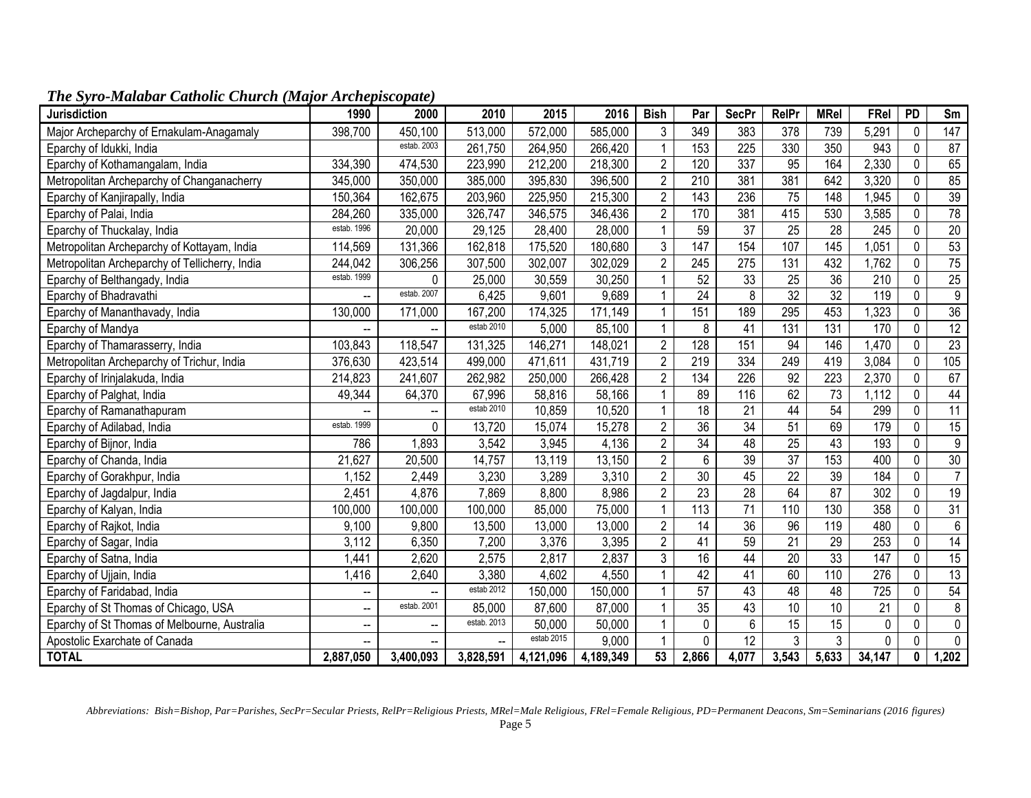| <b>Jurisdiction</b>                            | 1990                     | 2000                     | 2010        | 2015       | 2016      | <b>Bish</b>    | Par              | <b>SecPr</b>     | <b>RelPr</b>    | <b>MRel</b>      | FRel            | <b>PD</b>    | Sm               |
|------------------------------------------------|--------------------------|--------------------------|-------------|------------|-----------|----------------|------------------|------------------|-----------------|------------------|-----------------|--------------|------------------|
| Major Archeparchy of Ernakulam-Anagamaly       | 398,700                  | 450,100                  | 513,000     | 572,000    | 585,000   | 3              | 349              | 383              | 378             | 739              | 5,291           | $\mathbf 0$  | 147              |
| Eparchy of Idukki, India                       |                          | estab. 2003              | 261,750     | 264,950    | 266,420   | $\mathbf 1$    | 153              | 225              | 330             | 350              | 943             | $\pmb{0}$    | 87               |
| Eparchy of Kothamangalam, India                | 334,390                  | 474,530                  | 223,990     | 212,200    | 218,300   | $\overline{2}$ | 120              | 337              | 95              | 164              | 2,330           | 0            | 65               |
| Metropolitan Archeparchy of Changanacherry     | 345,000                  | 350,000                  | 385,000     | 395,830    | 396,500   | $\overline{2}$ | 210              | 381              | 381             | 642              | 3,320           | $\pmb{0}$    | 85               |
| Eparchy of Kanjirapally, India                 | 150,364                  | 162,675                  | 203,960     | 225,950    | 215,300   | $\overline{2}$ | $\overline{143}$ | 236              | $\overline{75}$ | 148              | 1,945           | 0            | 39               |
| Eparchy of Palai, India                        | 284,260                  | 335,000                  | 326,747     | 346,575    | 346,436   | $\overline{2}$ | 170              | 381              | 415             | 530              | 3,585           | 0            | 78               |
| Eparchy of Thuckalay, India                    | estab. 1996              | 20,000                   | 29,125      | 28,400     | 28,000    | $\mathbf{1}$   | 59               | 37               | 25              | 28               | 245             | $\mathbf 0$  | $\overline{20}$  |
| Metropolitan Archeparchy of Kottayam, India    | 114,569                  | 131,366                  | 162,818     | 175,520    | 180,680   | $\mathfrak{Z}$ | 147              | 154              | 107             | 145              | 1,051           | 0            | 53               |
| Metropolitan Archeparchy of Tellicherry, India | 244,042                  | 306,256                  | 307,500     | 302,007    | 302,029   | $\overline{2}$ | 245              | $\overline{275}$ | 131             | 432              | 1,762           | $\pmb{0}$    | 75               |
| Eparchy of Belthangady, India                  | estab. 1999              | $\mathbf{0}$             | 25,000      | 30,559     | 30,250    | $\mathbf{1}$   | 52               | 33               | 25              | 36               | 210             | $\pmb{0}$    | $\overline{25}$  |
| Eparchy of Bhadravathi                         | $\overline{a}$           | estab. 2007              | 6,425       | 9,601      | 9,689     |                | $\overline{24}$  | 8                | 32              | 32               | 119             | $\mathbf 0$  | $\overline{9}$   |
| Eparchy of Mananthavady, India                 | 130,000                  | 171,000                  | 167,200     | 174,325    | 171,149   | $\mathbf{1}$   | 151              | 189              | 295             | 453              | 1,323           | 0            | 36               |
| Eparchy of Mandya                              |                          |                          | estab 2010  | 5,000      | 85,100    | $\mathbf{1}$   | 8                | 41               | 131             | 131              | 170             | $\mathbf 0$  | 12               |
| Eparchy of Thamarasserry, India                | 103,843                  | 118,547                  | 131,325     | 146,271    | 148,021   | $\overline{2}$ | 128              | 151              | 94              | 146              | 1,470           | $\pmb{0}$    | $\overline{23}$  |
| Metropolitan Archeparchy of Trichur, India     | 376,630                  | 423,514                  | 499,000     | 471,611    | 431,719   | $\overline{2}$ | 219              | 334              | 249             | 419              | 3,084           | $\mathbf 0$  | 105              |
| Eparchy of Irinjalakuda, India                 | 214,823                  | 241,607                  | 262,982     | 250,000    | 266,428   | $\overline{2}$ | 134              | 226              | 92              | $\overline{223}$ | 2,370           | $\pmb{0}$    | 67               |
| Eparchy of Palghat, India                      | 49,344                   | 64,370                   | 67,996      | 58,816     | 58,166    | $\mathbf{1}$   | 89               | 116              | 62              | $\overline{73}$  | 1,112           | 0            | 44               |
| Eparchy of Ramanathapuram                      |                          |                          | estab 2010  | 10,859     | 10,520    | $\mathbf{1}$   | 18               | $\overline{21}$  | 44              | 54               | 299             | 0            | 11               |
| Eparchy of Adilabad, India                     | estab. 1999              | 0                        | 13,720      | 15,074     | 15,278    | $\overline{2}$ | $\overline{36}$  | $\overline{34}$  | 51              | 69               | 179             | $\pmb{0}$    | 15               |
| Eparchy of Bijnor, India                       | 786                      | 1,893                    | 3,542       | 3,945      | 4,136     | $\overline{2}$ | $\overline{34}$  | 48               | $\overline{25}$ | 43               | 193             | $\pmb{0}$    | 9                |
| Eparchy of Chanda, India                       | 21,627                   | 20,500                   | 14,757      | 13,119     | 13,150    | $\overline{2}$ | 6                | 39               | 37              | 153              | 400             | $\mathbf 0$  | 30               |
| Eparchy of Gorakhpur, India                    | 1,152                    | 2,449                    | 3,230       | 3,289      | 3,310     | $\overline{2}$ | 30               | 45               | 22              | 39               | 184             | $\pmb{0}$    | $\overline{7}$   |
| Eparchy of Jagdalpur, India                    | 2,451                    | 4,876                    | 7,869       | 8,800      | 8,986     | $\overline{2}$ | 23               | $\overline{28}$  | 64              | 87               | 302             | 0            | 19               |
| Eparchy of Kalyan, India                       | 100,000                  | 100,000                  | 100,000     | 85,000     | 75,000    | $\mathbf{1}$   | 113              | $\overline{71}$  | 110             | 130              | 358             | 0            | 31               |
| Eparchy of Rajkot, India                       | 9,100                    | 9,800                    | 13,500      | 13,000     | 13,000    | $\overline{2}$ | 14               | $\overline{36}$  | 96              | 119              | 480             | $\mathbf{0}$ | $\boldsymbol{6}$ |
| Eparchy of Sagar, India                        | 3,112                    | 6,350                    | 7,200       | 3,376      | 3,395     | $\overline{2}$ | 41               | 59               | $\overline{21}$ | $\overline{29}$  | 253             | 0            | $\overline{14}$  |
| Eparchy of Satna, India                        | ,441                     | 2,620                    | 2,575       | 2,817      | 2,837     | 3              | $\overline{16}$  | 44               | 20              | 33               | 147             | $\pmb{0}$    | 15               |
| Eparchy of Ujjain, India                       | 1,416                    | 2,640                    | 3,380       | 4,602      | 4,550     |                | 42               | $\overline{41}$  | 60              | 110              | 276             | 0            | 13               |
| Eparchy of Faridabad, India                    | --                       |                          | estab 2012  | 150,000    | 150,000   | $\mathbf 1$    | 57               | 43               | 48              | 48               | 725             | 0            | 54               |
| Eparchy of St Thomas of Chicago, USA           | --                       | estab. 2001              | 85,000      | 87,600     | 87,000    | $\mathbf{1}$   | 35               | 43               | 10              | 10               | $\overline{21}$ | $\pmb{0}$    | 8                |
| Eparchy of St Thomas of Melbourne, Australia   | $\overline{\phantom{a}}$ | $\overline{\phantom{a}}$ | estab. 2013 | 50,000     | 50,000    | $\mathbf 1$    | 0                | $6\phantom{1}$   | $\overline{15}$ | 15               | $\mathbf 0$     | $\mathbf 0$  | $\mathbf 0$      |
| Apostolic Exarchate of Canada                  |                          |                          | $\sim$      | estab 2015 | 9,000     | $\overline{1}$ | 0                | $\overline{12}$  | 3               | $\overline{3}$   | 0               | 0            | $\mathbf{0}$     |
| <b>TOTAL</b>                                   | 2,887,050                | 3,400,093                | 3,828,591   | 4,121,096  | 4,189,349 | 53             | 2,866            | 4,077            | 3,543           | 5,633            | 34,147          | 0            | 1,202            |

*The Syro-Malabar Catholic Church (Major Archepiscopate)*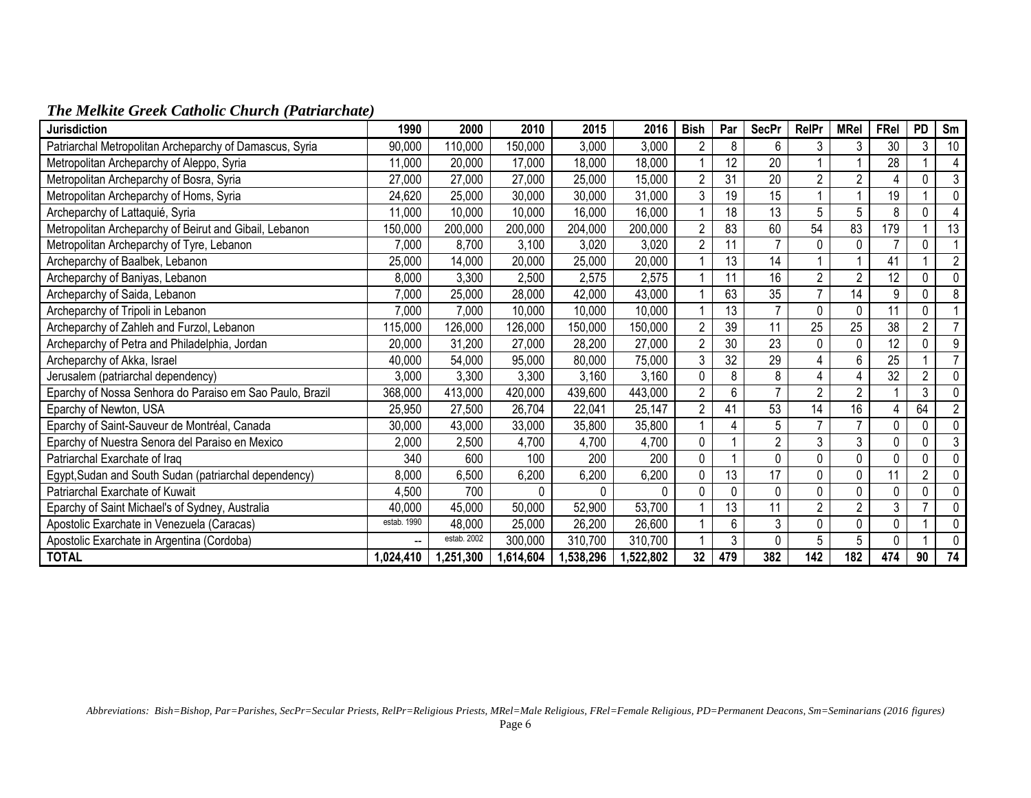|  |  |  |  |  | The Melkite Greek Catholic Church (Patriarchate) |  |
|--|--|--|--|--|--------------------------------------------------|--|
|--|--|--|--|--|--------------------------------------------------|--|

| <b>Jurisdiction</b>                                      | 1990        | 2000        | 2010         | 2015      | 2016      | <b>Bish</b>     | Par | <b>SecPr</b>    | <b>RelPr</b>   | <b>MRel</b>    | FRel     | <b>PD</b>      | Sm             |
|----------------------------------------------------------|-------------|-------------|--------------|-----------|-----------|-----------------|-----|-----------------|----------------|----------------|----------|----------------|----------------|
| Patriarchal Metropolitan Archeparchy of Damascus, Syria  | 90,000      | 110,000     | 150,000      | 3,000     | 3,000     | 2               | 8   | 6               | 3              | 3              | 30       | 3              | 10             |
| Metropolitan Archeparchy of Aleppo, Syria                | 11,000      | 20,000      | 17,000       | 18,000    | 18,000    |                 | 12  | 20              |                |                | 28       |                | 4              |
| Metropolitan Archeparchy of Bosra, Syria                 | 27,000      | 27,000      | 27,000       | 25,000    | 15,000    | $\overline{2}$  | 31  | $\overline{20}$ | $\overline{2}$ | $\overline{2}$ |          | 0              | $\mathbf{3}$   |
| Metropolitan Archeparchy of Homs, Syria                  | 24,620      | 25,000      | 30,000       | 30,000    | 31,000    | 3               | 19  | 15              |                |                | 19       |                | $\mathbf 0$    |
| Archeparchy of Lattaquié, Syria                          | 11,000      | 10,000      | 10,000       | 16,000    | 16,000    |                 | 18  | 13              | 5              | 5              | 8        | 0              |                |
| Metropolitan Archeparchy of Beirut and Gibail, Lebanon   | 150,000     | 200,000     | 200,000      | 204,000   | 200,000   | $\overline{2}$  | 83  | 60              | 54             | 83             | 179      |                | 13             |
| Metropolitan Archeparchy of Tyre, Lebanon                | 7,000       | 8,700       | 3,100        | 3,020     | 3,020     | $\overline{2}$  |     | $\overline{7}$  | 0              | $\Omega$       |          | 0              |                |
| Archeparchy of Baalbek, Lebanon                          | 25,000      | 14,000      | 20,000       | 25,000    | 20,000    | 1               | 13  | 14              |                |                | 41       | 1              | $\overline{2}$ |
| Archeparchy of Baniyas, Lebanon                          | 8,000       | 3,300       | 2,500        | 2,575     | 2,575     |                 | 11  | 16              | $\overline{2}$ | $\overline{2}$ | 12       | 0              | $\theta$       |
| Archeparchy of Saida, Lebanon                            | 7,000       | 25,000      | 28,000       | 42,000    | 43,000    |                 | 63  | $\overline{35}$ | $\overline{7}$ | 14             | 9        | 0              | 8              |
| Archeparchy of Tripoli in Lebanon                        | 7,000       | 7,000       | 10,000       | 10,000    | 10,000    | $\overline{1}$  | 13  | $\overline{7}$  | $\mathbf 0$    |                | 11       | 0              |                |
| Archeparchy of Zahleh and Furzol, Lebanon                | 115,000     | 126,000     | 126,000      | 150,000   | 150,000   | $\overline{2}$  | 39  | 11              | 25             | 25             | 38       | $\overline{2}$ |                |
| Archeparchy of Petra and Philadelphia, Jordan            | 20,000      | 31,200      | 27,000       | 28,200    | 27,000    | $\overline{2}$  | 30  | 23              | 0              | 0              | 12       | 0              | 9              |
| Archeparchy of Akka, Israel                              | 40,000      | 54,000      | 95,000       | 80,000    | 75,000    | 3               | 32  | $\overline{29}$ | 4              | 6              | 25       |                | $\overline{7}$ |
| Jerusalem (patriarchal dependency)                       | 3,000       | 3,300       | 3,300        | 3,160     | 3,160     | 0               | 8   | 8               | 4              |                | 32       | $\overline{2}$ | $\mathbf 0$    |
| Eparchy of Nossa Senhora do Paraiso em Sao Paulo, Brazil | 368,000     | 413,000     | 420,000      | 439,600   | 443,000   | $\overline{2}$  | 6   | $\overline{7}$  | $\overline{2}$ | $\overline{2}$ |          | 3              | $\Omega$       |
| Eparchy of Newton, USA                                   | 25,950      | 27,500      | 26,704       | 22,041    | 25,147    | $\overline{2}$  | 41  | 53              | 14             | 16             |          | 64             | $\overline{2}$ |
| Eparchy of Saint-Sauveur de Montréal, Canada             | 30,000      | 43,000      | 33,000       | 35,800    | 35,800    | 1               |     | 5               |                |                |          | 0              | $\Omega$       |
| Eparchy of Nuestra Senora del Paraiso en Mexico          | 2,000       | 2,500       | 4,700        | 4,700     | 4,700     | 0               |     | $\overline{2}$  | 3              | 3              |          | 0              | $\mathbf{3}$   |
| Patriarchal Exarchate of Iraq                            | 340         | 600         | 100          | 200       | 200       | 0               |     | 0               | 0              | 0              | $\Omega$ | 0              | 0              |
| Egypt, Sudan and South Sudan (patriarchal dependency)    | 8,000       | 6,500       | 6,200        | 6,200     | 6,200     | 0               | 13  | 17              | 0              | 0              | 11       | $\overline{2}$ | $\mathbf 0$    |
| Patriarchal Exarchate of Kuwait                          | 4,500       | 700         | <sup>0</sup> | 0         | 0         | 0               |     | $\mathbf 0$     | 0              |                |          | 0              | $\mathbf{0}$   |
| Eparchy of Saint Michael's of Sydney, Australia          | 40,000      | 45,000      | 50,000       | 52,900    | 53,700    | 1               | 13  | 11              | $\overline{2}$ | $\overline{2}$ | 3        | $\overline{7}$ | $\mathbf 0$    |
| Apostolic Exarchate in Venezuela (Caracas)               | estab. 1990 | 48,000      | 25,000       | 26,200    | 26,600    | 1               | 6   | 3               | 0              | $\Omega$       | 0        |                | $\mathbf 0$    |
| Apostolic Exarchate in Argentina (Cordoba)               | -−          | estab. 2002 | 300,000      | 310,700   | 310,700   |                 | 3   | 0               | 5              | 5              |          |                | $\mathbf 0$    |
| <b>TOTAL</b>                                             | 1,024,410   | 1,251,300   | 1,614,604    | 1,538,296 | 1,522,802 | 32 <sub>2</sub> | 479 | 382             | 142            | 182            | 474      | 90             | 74             |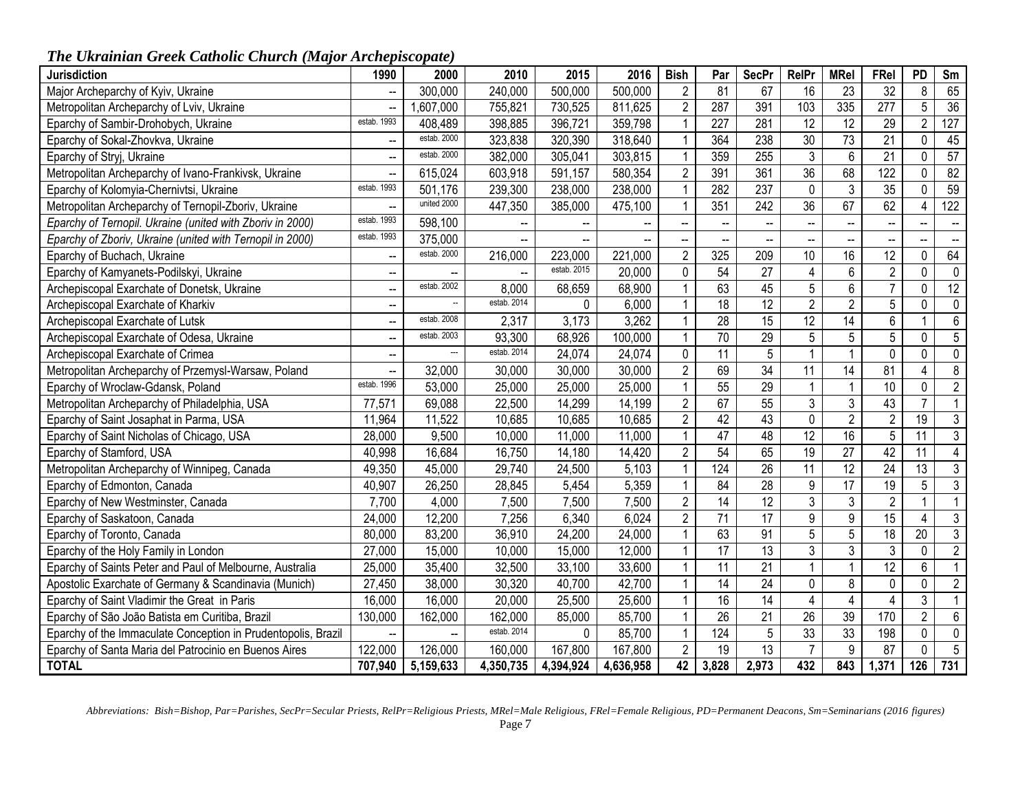# *The Ukrainian Greek Catholic Church (Major Archepiscopate)*

| <b>Jurisdiction</b>                                           | 1990                     | 2000                     | 2010        | 2015                     | 2016      | <b>Bish</b>     | Par                      | <b>SecPr</b>    | RelPr                    | <b>MRel</b>              | FRel                     | PD                       | Sm                       |
|---------------------------------------------------------------|--------------------------|--------------------------|-------------|--------------------------|-----------|-----------------|--------------------------|-----------------|--------------------------|--------------------------|--------------------------|--------------------------|--------------------------|
| Major Archeparchy of Kyiv, Ukraine                            | $\frac{1}{2}$            | 300,000                  | 240,000     | 500,000                  | 500,000   | $\overline{2}$  | 81                       | 67              | 16                       | 23                       | 32                       | 8                        | 65                       |
| Metropolitan Archeparchy of Lviv, Ukraine                     | $\overline{\phantom{a}}$ | ,607,000                 | 755,821     | 730,525                  | 811,625   | $\overline{2}$  | 287                      | 391             | 103                      | 335                      | 277                      | 5                        | 36                       |
| Eparchy of Sambir-Drohobych, Ukraine                          | estab. 1993              | 408,489                  | 398,885     | 396,721                  | 359,798   | $\mathbf{1}$    | 227                      | 281             | $\overline{12}$          | $\overline{12}$          | 29                       | $\overline{2}$           | 127                      |
| Eparchy of Sokal-Zhovkva, Ukraine                             | $\overline{\phantom{a}}$ | estab. 2000              | 323,838     | 320,390                  | 318,640   | $\mathbf{1}$    | 364                      | 238             | 30                       | $\overline{73}$          | 21                       | $\mathbf 0$              | 45                       |
| Eparchy of Stryj, Ukraine                                     | $\overline{\phantom{a}}$ | estab. 2000              | 382,000     | 305,041                  | 303,815   | $\mathbf{1}$    | 359                      | 255             | $\overline{3}$           | $6\phantom{a}$           | 21                       | $\mathbf 0$              | 57                       |
| Metropolitan Archeparchy of Ivano-Frankivsk, Ukraine          | $\overline{\phantom{a}}$ | 615,024                  | 603,918     | 591,157                  | 580,354   | $\overline{2}$  | 391                      | 361             | $\overline{36}$          | 68                       | 122                      | $\mathbf 0$              | 82                       |
| Eparchy of Kolomyia-Chernivtsi, Ukraine                       | estab. 1993              | 501,176                  | 239,300     | 238,000                  | 238,000   | $\mathbf{1}$    | 282                      | 237             | $\mathbf 0$              | $\overline{3}$           | $\overline{35}$          | $\mathbf 0$              | 59                       |
| Metropolitan Archeparchy of Ternopil-Zboriv, Ukraine          | $\overline{\phantom{a}}$ | united 2000              | 447,350     | 385,000                  | 475,100   | 1               | 351                      | 242             | $\overline{36}$          | 67                       | 62                       | $\overline{4}$           | $\overline{122}$         |
| Eparchy of Ternopil. Ukraine (united with Zboriv in 2000)     | estab. 1993              | 598,100                  | --          | $\overline{\phantom{a}}$ |           | Ξ.              | $\overline{\phantom{a}}$ |                 | $\mathbf{L}$             | $\overline{\phantom{a}}$ |                          | $\overline{\phantom{a}}$ | $\overline{\phantom{a}}$ |
| Eparchy of Zboriv, Ukraine (united with Ternopil in 2000)     | estab. 1993              | 375,000                  | --          | --                       |           | --              | $\overline{\phantom{a}}$ | $\overline{a}$  | $\overline{\phantom{a}}$ | $\overline{\phantom{a}}$ | $\overline{\phantom{a}}$ | --                       | $\overline{\phantom{a}}$ |
| Eparchy of Buchach, Ukraine                                   | $\overline{\phantom{a}}$ | estab. 2000              | 216,000     | 223,000                  | 221,000   | $\overline{c}$  | 325                      | 209             | 10                       | 16                       | 12                       | $\pmb{0}$                | 64                       |
| Eparchy of Kamyanets-Podilskyi, Ukraine                       | $\overline{\phantom{a}}$ | $\mathbf{u}$             | Ξ.          | estab. 2015              | 20,000    | $\pmb{0}$       | 54                       | $\overline{27}$ | $\overline{4}$           | $\overline{6}$           | $\overline{2}$           | $\mathbf 0$              | $\pmb{0}$                |
| Archepiscopal Exarchate of Donetsk, Ukraine                   | $\overline{\phantom{a}}$ | estab. 2002              | 8,000       | 68,659                   | 68,900    | $\mathbf{1}$    | 63                       | 45              | $\overline{5}$           | $\overline{6}$           | $\overline{7}$           | $\mathbf 0$              | 12                       |
| Archepiscopal Exarchate of Kharkiv                            | $\overline{\phantom{a}}$ | $\ddot{\phantom{a}}$     | estab. 2014 | $\Omega$                 | 6,000     | $\mathbf{1}$    | 18                       | 12              | $\overline{2}$           | $\overline{2}$           | 5                        | $\pmb{0}$                | $\pmb{0}$                |
| Archepiscopal Exarchate of Lutsk                              | $\overline{\phantom{a}}$ | estab. 2008              | 2,317       | 3,173                    | 3,262     | $\mathbf{1}$    | 28                       | 15              | $\overline{12}$          | $\overline{14}$          | $6\phantom{.0}$          | $\mathbf{1}$             | $\overline{6}$           |
| Archepiscopal Exarchate of Odesa, Ukraine                     | $\mathbb{L}^2$           | estab. 2003              | 93,300      | 68,926                   | 100,000   | $\mathbf{1}$    | $\overline{70}$          | $\overline{29}$ | 5                        | 5                        | 5                        | $\mathbf 0$              | $\overline{5}$           |
| Archepiscopal Exarchate of Crimea                             | $\overline{\phantom{a}}$ | $\overline{\phantom{a}}$ | estab. 2014 | 24,074                   | 24,074    | 0               | $\overline{11}$          | 5               | $\mathbf{1}$             | $\mathbf{1}$             | 0                        | $\mathbf 0$              | $\pmb{0}$                |
| Metropolitan Archeparchy of Przemysl-Warsaw, Poland           | $\overline{\phantom{a}}$ | 32,000                   | 30,000      | 30,000                   | 30,000    | $\overline{2}$  | 69                       | $\overline{34}$ | $\overline{11}$          | $\overline{14}$          | 81                       | $\overline{\mathbf{4}}$  | $\overline{8}$           |
| Eparchy of Wroclaw-Gdansk, Poland                             | estab. 1996              | 53,000                   | 25,000      | 25,000                   | 25,000    | $\mathbf{1}$    | $\overline{55}$          | 29              | $\mathbf{1}$             | $\overline{1}$           | 10                       | $\mathbf 0$              | $\overline{2}$           |
| Metropolitan Archeparchy of Philadelphia, USA                 | 77,571                   | 69,088                   | 22,500      | 14,299                   | 14,199    | $\overline{2}$  | 67                       | 55              | 3                        | 3                        | 43                       | $\overline{7}$           | $\mathbf{1}$             |
| Eparchy of Saint Josaphat in Parma, USA                       | 11,964                   | 11,522                   | 10,685      | 10,685                   | 10,685    | $\overline{2}$  | 42                       | 43              | 0                        | $\overline{2}$           | $\overline{2}$           | 19                       | $\mathfrak{Z}$           |
| Eparchy of Saint Nicholas of Chicago, USA                     | 28,000                   | 9,500                    | 10,000      | 11,000                   | 11,000    | $\mathbf{1}$    | 47                       | 48              | 12                       | 16                       | $\overline{5}$           | 11                       | $\overline{3}$           |
| Eparchy of Stamford, USA                                      | 40,998                   | 16,684                   | 16,750      | 14,180                   | 14,420    | $\overline{c}$  | 54                       | 65              | 19                       | $\overline{27}$          | 42                       | $\overline{11}$          | $\overline{4}$           |
| Metropolitan Archeparchy of Winnipeg, Canada                  | 49,350                   | 45,000                   | 29,740      | 24,500                   | 5,103     | $\mathbf{1}$    | 124                      | $\overline{26}$ | $\overline{11}$          | $\overline{12}$          | $\overline{24}$          | $\overline{13}$          | $\overline{3}$           |
| Eparchy of Edmonton, Canada                                   | 40,907                   | 26,250                   | 28,845      | 5,454                    | 5,359     | $\mathbf{1}$    | 84                       | 28              | $9\,$                    | 17                       | 19                       | $\overline{5}$           | $\overline{3}$           |
| Eparchy of New Westminster, Canada                            | 7,700                    | 4,000                    | 7,500       | 7,500                    | 7,500     | $\overline{c}$  | 14                       | 12              | 3                        | $\mathfrak{Z}$           | $\overline{2}$           | $\mathbf{1}$             | $\mathbf{1}$             |
| Eparchy of Saskatoon, Canada                                  | 24,000                   | 12,200                   | 7,256       | 6,340                    | 6,024     | $\overline{2}$  | $\overline{71}$          | 17              | $\overline{9}$           | $\overline{9}$           | 15                       | $\overline{4}$           | $\overline{3}$           |
| Eparchy of Toronto, Canada                                    | 80,000                   | 83,200                   | 36,910      | 24,200                   | 24,000    | $\mathbf{1}$    | 63                       | 91              | 5                        | $\overline{5}$           | 18                       | 20                       | $\overline{3}$           |
| Eparchy of the Holy Family in London                          | 27,000                   | 15,000                   | 10,000      | 15,000                   | 12,000    | $\mathbf{1}$    | $\overline{17}$          | 13              | $\overline{3}$           | $\overline{3}$           | $\overline{3}$           | $\overline{0}$           | $\overline{2}$           |
| Eparchy of Saints Peter and Paul of Melbourne, Australia      | 25,000                   | 35,400                   | 32,500      | 33,100                   | 33,600    | $\mathbf{1}$    | $\overline{11}$          | $\overline{21}$ | $\mathbf{1}$             | $\mathbf{1}$             | $\overline{12}$          | $6\,$                    | $\mathbf{1}$             |
| Apostolic Exarchate of Germany & Scandinavia (Munich)         | 27,450                   | 38,000                   | 30,320      | 40,700                   | 42,700    | $\mathbf{1}$    | 14                       | 24              | 0                        | 8                        | 0                        | $\pmb{0}$                | $\overline{2}$           |
| Eparchy of Saint Vladimir the Great in Paris                  | 16,000                   | 16,000                   | 20,000      | 25,500                   | 25,600    | $\mathbf{1}$    | 16                       | 14              | $\overline{4}$           | $\overline{4}$           | $\overline{4}$           | $\sqrt{3}$               | $\mathbf{1}$             |
| Eparchy of São João Batista em Curitiba, Brazil               | 130,000                  | 162,000                  | 162,000     | 85,000                   | 85,700    | $\mathbf{1}$    | $\overline{26}$          | $\overline{21}$ | $\overline{26}$          | 39                       | 170                      | $\overline{2}$           | 6                        |
| Eparchy of the Immaculate Conception in Prudentopolis, Brazil | $\mathbf{u}$             | $\mathbf{u}$             | estab. 2014 | 0                        | 85,700    | $\mathbf{1}$    | 124                      | 5               | 33                       | 33                       | 198                      | $\mathbf 0$              | 0                        |
| Eparchy of Santa Maria del Patrocinio en Buenos Aires         | 122,000                  | 126,000                  | 160,000     | 167,800                  | 167,800   | $\overline{2}$  | $\overline{19}$          | $\overline{13}$ | $\overline{7}$           | $9\,$                    | 87                       | $\mathbf 0$              | $\sqrt{5}$               |
| <b>TOTAL</b>                                                  | 707,940                  | $\overline{5,}159,633$   | 4,350,735   | 4,394,924                | 4,636,958 | $\overline{42}$ | 3,828                    | 2,973           | 432                      | 843                      | 1,371                    | 126                      | 731                      |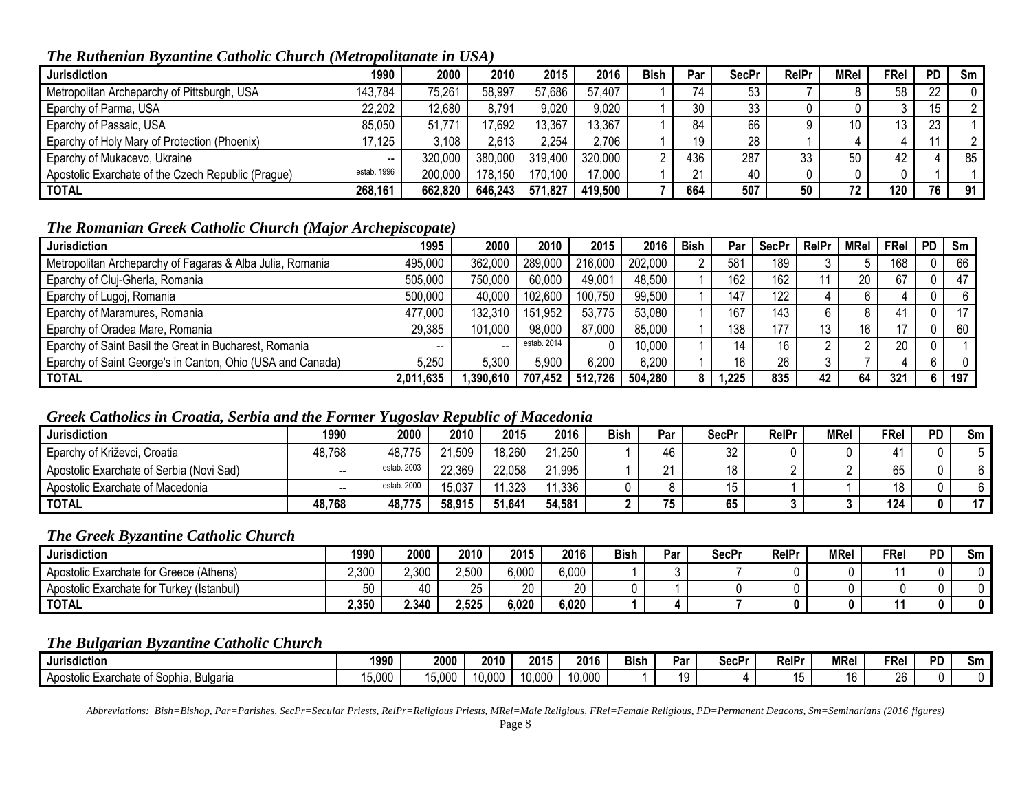## *The Ruthenian Byzantine Catholic Church (Metropolitanate in USA)*

| <b>Jurisdiction</b>                                | 1990        | 2000    | 2010    | 2015    | 2016    | <b>Bish</b> | Par | <b>SecPr</b> | <b>RelPr</b> | <b>MRel</b> | <b>FRel</b> | <b>PD</b> | Sm |
|----------------------------------------------------|-------------|---------|---------|---------|---------|-------------|-----|--------------|--------------|-------------|-------------|-----------|----|
| Metropolitan Archeparchy of Pittsburgh, USA        | 143.784     | 75,261  | 58,997  | 57,686  | 57,407  |             | 74  | 53           |              |             | 58          | 22        |    |
| Eparchy of Parma, USA                              | 22,202      | 12,680  | 8,791   | 9,020   | 9,020   |             | 30  | 33           |              |             |             | 15        |    |
| Eparchy of Passaic, USA                            | 85,050      | 51,771  | 17,692  | 13,367  | 13,367  |             | 84  | 66           |              |             | 13          | 23        |    |
| Eparchy of Holy Mary of Protection (Phoenix)       | 17,125      | 3,108   | 2.613   | 2,254   | 2,706   |             | 19  | 28           |              |             |             |           |    |
| Eparchy of Mukacevo, Ukraine                       |             | 320,000 | 380,000 | 319,400 | 320,000 |             | 436 | 287          | 33           | 50          | 42          |           | 85 |
| Apostolic Exarchate of the Czech Republic (Prague) | estab. 1996 | 200,000 | 178,150 | 170,100 | 17,000  |             | 21  | 40           |              |             |             |           |    |
| <b>TOTAL</b>                                       | 268,161     | 662,820 | 646,243 | 571,827 | 419,500 |             | 664 | 507          | 50           | 72          | 120         | 76        | 91 |

## *The Romanian Greek Catholic Church (Major Archepiscopate)*

| <b>Jurisdiction</b>                                        | 1995      | 2000      | 2010        | 2015    | 2016    | <b>Bish</b> | Par   | <b>SecPr</b> | RelPr | <b>MRel</b> | <b>FRel</b>     | <b>PD</b>    | Sm  |
|------------------------------------------------------------|-----------|-----------|-------------|---------|---------|-------------|-------|--------------|-------|-------------|-----------------|--------------|-----|
| Metropolitan Archeparchy of Fagaras & Alba Julia, Romania  | 495,000   | 362,000   | 289,000     | 216,000 | 202,000 |             | 581   | 189          |       |             | 168             | $\mathbf{0}$ | 66  |
| Eparchy of Cluj-Gherla, Romania                            | 505,000   | 750,000   | 60,000      | 49,001  | 48,500  |             | 162   | 162          |       | 20          | 67              | $\mathbf{0}$ | 47  |
| Eparchy of Lugoj, Romania                                  | 500,000   | 40,000    | 102,600     | 100,750 | 99,500  |             | 147   | 122          |       |             |                 | $\mathbf{0}$ |     |
| Eparchy of Maramures, Romania                              | 477,000   | 132.310   | 151,952     | 53,775  | 53,080  |             | 167   | 143          |       |             | 41              | $\mathbf{0}$ | 17  |
| Eparchy of Oradea Mare, Romania                            | 29,385    | 101,000   | 98,000      | 87,000  | 85,000  |             | 138   | 177          | 13    | 16          |                 | 0            | 60  |
| Eparchy of Saint Basil the Great in Bucharest, Romania     | $- -$     |           | estab, 2014 |         | 10,000  |             |       | 16           |       |             | 20              | $\mathbf{0}$ |     |
| Eparchy of Saint George's in Canton, Ohio (USA and Canada) | 5,250     | 5,300     | 5,900       | 6,200   | 6,200   |             | 16    | 26           |       |             |                 | 6            |     |
| <b>TOTAL</b>                                               | 2,011,635 | 1,390,610 | 707,452     | 512,726 | 504,280 |             | 1,225 | 835          | 42    | 64          | 32 <sup>′</sup> | 6            | 197 |

## *Greek Catholics in Croatia, Serbia and the Former Yugoslav Republic of Macedonia*

| Jurisdiction                             | 1990   | 2000        | 2010   | 2015   | 2016   | Bish | Par     | SecPr | <b>RelPr</b> | <b>MRel</b> | FRel | <b>PD</b> | Sm |
|------------------------------------------|--------|-------------|--------|--------|--------|------|---------|-------|--------------|-------------|------|-----------|----|
| Eparchy of Križevci, Croatia             | 48,768 | 48,775      | 21,509 | 18,260 | 21,250 |      | 46      | 32    |              |             |      |           |    |
| Apostolic Exarchate of Serbia (Novi Sad) | $- -$  | estab. 2003 | 22,369 | 22,058 | 21,995 |      | $\sim$  | 18    |              |             | 65   |           |    |
| Apostolic Exarchate of Macedonia         | $- -$  | estab. 2000 | 15.037 | 1,323  | 1,336  |      |         | 15    |              |             |      |           |    |
| <b>TOTAL</b>                             | 48,768 | 48,775      | 58,915 | 51,641 | 54,581 |      | 75<br>ູ | 65    |              |             | 124  |           | 47 |

## *The Greek Byzantine Catholic Church*

| <b>Jurisdiction</b>                       | 1990           | 2000  | 2010  | 2015  | 2016  | <b>Bish</b> | Par | SecPr | <b>RelPr</b> | <b>MRel</b> | FRel | <b>PD</b> | Sm |
|-------------------------------------------|----------------|-------|-------|-------|-------|-------------|-----|-------|--------------|-------------|------|-----------|----|
| Apostolic Exarchate for Greece (Athens)   | 2,300          | 2,300 | 2,500 | 6,000 | 6,000 |             |     |       |              |             |      |           |    |
| Apostolic Exarchate for Turkey (Istanbul) | $-\sim$<br>่วบ | 40    | 25    | 20    | 20    |             |     |       |              |             |      |           |    |
| <b>TOTAL</b>                              | 2,350          | 2.340 | 2,525 | 6,020 | 6,020 |             |     |       |              |             |      |           | Λ  |

#### *The Bulgarian Byzantine Catholic Church*

| .<br>I Jurisdiction                                          | 1990   | 2000   | 2010   | 2015   | 2016               | <b>Bish</b> | Par      | SecPr | PAIDr<br>rei | <b>MRei</b> | FRel     | חם<br>-0 | Sm |
|--------------------------------------------------------------|--------|--------|--------|--------|--------------------|-------------|----------|-------|--------------|-------------|----------|----------|----|
| Sophia.<br>- Apostolic<br>Exarchate<br>--<br><b>Bulgaria</b> | 15,000 | 15,000 | 10.00f | 10,000 | 10,00 <sup>c</sup> |             | ιc<br>٠. |       |              | 1b          | ባድ<br>⁄n |          |    |